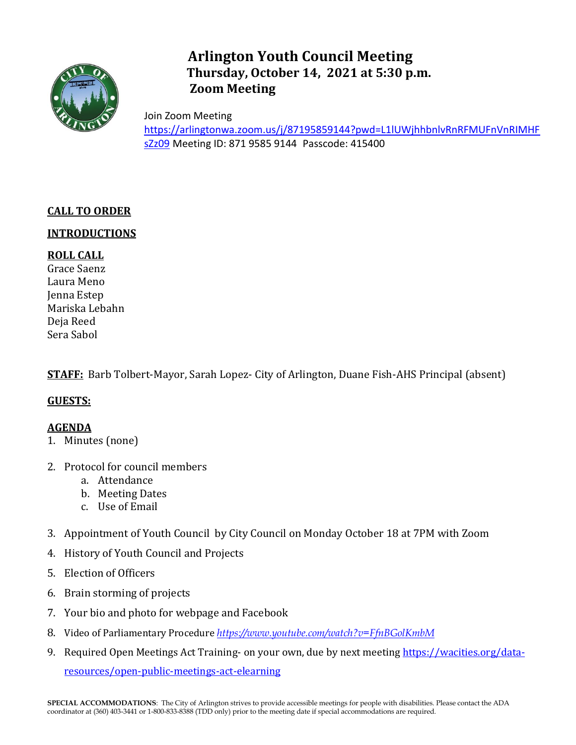

# **Arlington Youth Council Meeting Thursday, October 14, 2021 at 5:30 p.m. Zoom Meeting**

Join Zoom Meeting [https://arlingtonwa.zoom.us/j/87195859144?pwd=L1lUWjhhbnlvRnRFMUFnVnRIMHF](https://arlingtonwa.zoom.us/j/87195859144?pwd=L1lUWjhhbnlvRnRFMUFnVnRIMHFsZz09) [sZz09](https://arlingtonwa.zoom.us/j/87195859144?pwd=L1lUWjhhbnlvRnRFMUFnVnRIMHFsZz09) Meeting ID: 871 9585 9144 Passcode: 415400

# **CALL TO ORDER**

## **INTRODUCTIONS**

# **ROLL CALL**

Grace Saenz Laura Meno Jenna Estep Mariska Lebahn Deja Reed Sera Sabol

**STAFF:** Barb Tolbert-Mayor, Sarah Lopez- City of Arlington, Duane Fish-AHS Principal (absent)

#### **GUESTS:**

#### **AGENDA**

- 1. Minutes (none)
- 2. Protocol for council members
	- a. Attendance
	- b. Meeting Dates
	- c. Use of Email
- 3. Appointment of Youth Council by City Council on Monday October 18 at 7PM with Zoom
- 4. History of Youth Council and Projects
- 5. Election of Officers
- 6. Brain storming of projects
- 7. Your bio and photo for webpage and Facebook
- 8. Video of Parliamentary Procedure *<https://www.youtube.com/watch?v=FfnBGolKmbM>*
- 9. Required Open Meetings Act Training- on your own, due by next meeting [https://wacities.org/data](https://wacities.org/data-resources/open-public-meetings-act-elearning)[resources/open-public-meetings-act-elearning](https://wacities.org/data-resources/open-public-meetings-act-elearning)